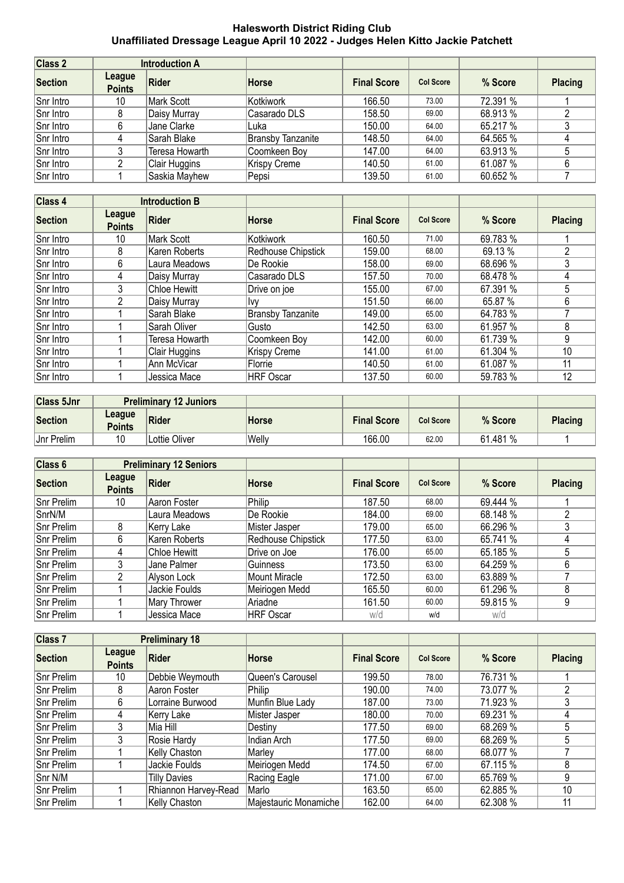## **Halesworth District Riding Club Unaffiliated Dressage League April 10 2022 - Judges Helen Kitto Jackie Patchett**

| Class 2        | <b>Introduction A</b>   |                |                          |                    |                  |          |                |
|----------------|-------------------------|----------------|--------------------------|--------------------|------------------|----------|----------------|
| <b>Section</b> | League<br><b>Points</b> | Rider          | <b>Horse</b>             | <b>Final Score</b> | <b>Col Score</b> | % Score  | <b>Placing</b> |
| Snr Intro      | 10                      | Mark Scott     | Kotkiwork                | 166.50             | 73.00            | 72.391 % |                |
| Snr Intro      |                         | Daisy Murray   | Casarado DLS             | 158.50             | 69.00            | 68.913 % |                |
| Snr Intro      |                         | Jane Clarke    | Luka                     | 150.00             | 64.00            | 65.217 % |                |
| Snr Intro      | 4                       | Sarah Blake    | <b>Bransby Tanzanite</b> | 148.50             | 64.00            | 64.565 % |                |
| Snr Intro      |                         | Teresa Howarth | Coomkeen Boy             | 147.00             | 64.00            | 63.913 % |                |
| Snr Intro      |                         | Clair Huggins  | <b>Krispy Creme</b>      | 140.50             | 61.00            | 61.087 % |                |
| Snr Intro      |                         | Saskia Mayhew  | Pepsi                    | 139.50             | 61.00            | 60.652 % |                |

| <b>Class 4</b> | <b>Introduction B</b>   |                     |                          |                    |                  |          |                |
|----------------|-------------------------|---------------------|--------------------------|--------------------|------------------|----------|----------------|
| Section        | League<br><b>Points</b> | Rider               | Horse                    | <b>Final Score</b> | <b>Col Score</b> | % Score  | <b>Placing</b> |
| Snr Intro      | 10                      | Mark Scott          | Kotkiwork                | 160.50             | 71.00            | 69.783 % |                |
| Snr Intro      | 8                       | Karen Roberts       | Redhouse Chipstick       | 159.00             | 68.00            | 69.13 %  | 2              |
| Snr Intro      | 6                       | Laura Meadows       | De Rookie                | 158.00             | 69.00            | 68.696 % | 3              |
| Snr Intro      | 4                       | Daisy Murray        | Casarado DLS             | 157.50             | 70.00            | 68.478 % | 4              |
| Snr Intro      | 3                       | <b>Chloe Hewitt</b> | Drive on joe             | 155.00             | 67.00            | 67.391 % | 5.             |
| Snr Intro      | 2                       | Daisy Murray        | Ivv                      | 151.50             | 66.00            | 65.87 %  | 6              |
| Snr Intro      |                         | Sarah Blake         | <b>Bransby Tanzanite</b> | 149.00             | 65.00            | 64.783 % |                |
| Snr Intro      |                         | Sarah Oliver        | Gusto                    | 142.50             | 63.00            | 61.957 % | 8              |
| Snr Intro      |                         | Teresa Howarth      | Coomkeen Boy             | 142.00             | 60.00            | 61.739 % | 9              |
| Snr Intro      |                         | Clair Huggins       | Krispy Creme             | 141.00             | 61.00            | 61.304 % | 10             |
| Snr Intro      |                         | Ann McVicar         | Florrie                  | 140.50             | 61.00            | 61.087 % | 11             |
| Snr Intro      |                         | Jessica Mace        | HRF Oscar                | 137.50             | 60.00            | 59.783 % | 12             |

| <b>Class 5Jnr</b> | <b>Preliminary 12 Juniors</b> |               |        |                    |                  |          |                |
|-------------------|-------------------------------|---------------|--------|--------------------|------------------|----------|----------------|
| Section           | League<br><b>Points</b>       | <b>Rider</b>  | Horse  | <b>Final Score</b> | <b>Col Score</b> | % Score  | <b>Placing</b> |
| <b>Jnr Prelim</b> | 10                            | ∟ottie Oliver | 'Welly | 166.00             | 62.00            | 61.481 % |                |

| Class 6           | <b>Preliminary 12 Seniors</b> |               |                    |                    |                  |          |                |
|-------------------|-------------------------------|---------------|--------------------|--------------------|------------------|----------|----------------|
| Section           | League<br><b>Points</b>       | Rider         | Horse              | <b>Final Score</b> | <b>Col Score</b> | % Score  | <b>Placing</b> |
| Snr Prelim        | 10                            | Aaron Foster  | Philip             | 187.50             | 68.00            | 69.444 % |                |
| SnrN/M            |                               | Laura Meadows | De Rookie          | 184.00             | 69.00            | 68.148 % |                |
| Snr Prelim        | 8                             | Kerry Lake    | Mister Jasper      | 179.00             | 65.00            | 66.296 % |                |
| Snr Prelim        | 6                             | Karen Roberts | Redhouse Chipstick | 177.50             | 63.00            | 65.741 % |                |
| Snr Prelim        | 4                             | Chloe Hewitt  | Drive on Joe       | 176.00             | 65.00            | 65.185 % |                |
| Snr Prelim        | 3                             | Jane Palmer   | Guinness           | 173.50             | 63.00            | 64.259 % | 6              |
| <b>Snr Prelim</b> |                               | Alyson Lock   | Mount Miracle      | 172.50             | 63.00            | 63.889 % |                |
| Snr Prelim        |                               | Jackie Foulds | Meiriogen Medd     | 165.50             | 60.00            | 61.296 % | 8              |
| Snr Prelim        |                               | Mary Thrower  | Ariadne            | 161.50             | 60.00            | 59.815 % | 9              |
| Snr Prelim        |                               | Jessica Mace  | <b>HRF Oscar</b>   | w/d                | w/d              | w/d      |                |

| Class <sub>7</sub> | <b>Preliminary 18</b>   |                      |                       |                    |                  |          |                |
|--------------------|-------------------------|----------------------|-----------------------|--------------------|------------------|----------|----------------|
| Section            | League<br><b>Points</b> | Rider                | <b>Horse</b>          | <b>Final Score</b> | <b>Col Score</b> | % Score  | <b>Placing</b> |
| Snr Prelim         | 10                      | Debbie Weymouth      | Queen's Carousel      | 199.50             | 78.00            | 76.731 % |                |
| <b>Snr Prelim</b>  | 8                       | Aaron Foster         | Philip                | 190.00             | 74.00            | 73.077 % |                |
| Snr Prelim         | 6                       | Lorraine Burwood     | Munfin Blue Lady      | 187.00             | 73.00            | 71.923 % |                |
| Snr Prelim         | 4                       | Kerry Lake           | Mister Jasper         | 180.00             | 70.00            | 69.231 % | 4              |
| <b>Snr Prelim</b>  | 3                       | Mia Hill             | Destinv               | 177.50             | 69.00            | 68.269 % | 5.             |
| <b>Snr Prelim</b>  | 3                       | Rosie Hardy          | Indian Arch           | 177.50             | 69.00            | 68.269 % | 5              |
| Snr Prelim         |                         | Kelly Chaston        | Marley                | 177.00             | 68.00            | 68.077 % |                |
| Snr Prelim         |                         | Jackie Foulds        | Meiriogen Medd        | 174.50             | 67.00            | 67.115 % | 8              |
| Snr N/M            |                         | Tilly Davies         | Racing Eagle          | 171.00             | 67.00            | 65.769 % | 9              |
| Snr Prelim         |                         | Rhiannon Harvey-Read | Marlo                 | 163.50             | 65.00            | 62.885 % | 10             |
| Snr Prelim         |                         | Kelly Chaston        | Majestauric Monamiche | 162.00             | 64.00            | 62.308 % | 11             |